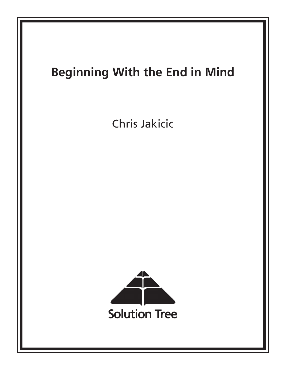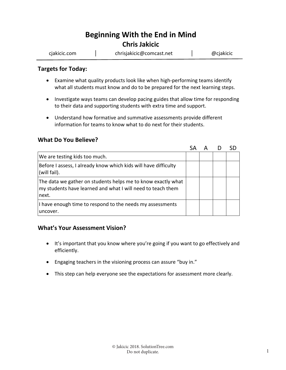## **Beginning With the End in Mind Chris Jakicic**

cjakicic.com | chrisjakicic@comcast.net | @cjakicic

#### **Targets for Today:**

- Examine what quality products look like when high-performing teams identify what all students must know and do to be prepared for the next learning steps.
- Investigate ways teams can develop pacing guides that allow time for responding to their data and supporting students with extra time and support.
- Understand how formative and summative assessments provide different information for teams to know what to do next for their students.

#### **What Do You Believe?**

| We are testing kids too much.                                                                                                        |  |  |
|--------------------------------------------------------------------------------------------------------------------------------------|--|--|
| Before I assess, I already know which kids will have difficulty<br>(will fail).                                                      |  |  |
| The data we gather on students helps me to know exactly what<br>my students have learned and what I will need to teach them<br>next. |  |  |
| I have enough time to respond to the needs my assessments<br>uncover.                                                                |  |  |

#### **What's Your Assessment Vision?**

- It's important that you know where you're going if you want to go effectively and efficiently.
- Engaging teachers in the visioning process can assure "buy in."
- This step can help everyone see the expectations for assessment more clearly.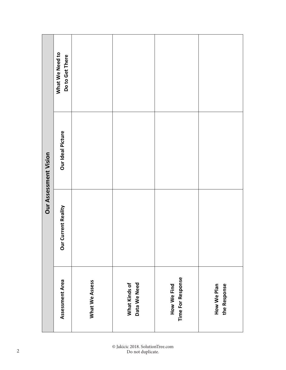|                       | What We Need to<br>Do to Get There |                |                               |                                         |                             |
|-----------------------|------------------------------------|----------------|-------------------------------|-----------------------------------------|-----------------------------|
| Our Assessment Vision | <b>Our Ideal Picture</b>           |                |                               |                                         |                             |
|                       | Our Current Reality                |                |                               |                                         |                             |
|                       | Assessment Area                    | What We Assess | Data We Need<br>What Kinds of | <b>Time For Response</b><br>How We Find | How We Plan<br>the Response |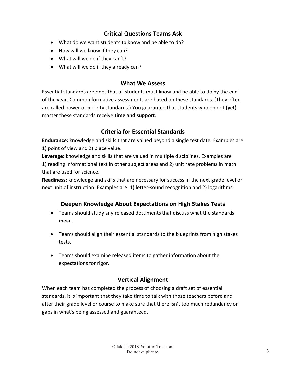#### **Critical Questions Teams Ask**

- What do we want students to know and be able to do?
- $\bullet$  How will we know if they can?
- $\bullet$  What will we do if they can't?
- What will we do if they already can?

#### **What We Assess**

Essential standards are ones that all students must know and be able to do by the end of the year. Common formative assessments are based on these standards. (They often are called power or priority standards.) You guarantee that students who do not **(yet)**  master these standards receive **time and support**.

#### **Criteria for Essential Standards**

**Endurance:** knowledge and skills that are valued beyond a single test date. Examples are 1) point of view and 2) place value.

**Leverage:** knowledge and skills that are valued in multiple disciplines. Examples are 1) reading informational text in other subject areas and 2) unit rate problems in math that are used for science.

**Readiness:** knowledge and skills that are necessary for success in the next grade level or next unit of instruction. Examples are: 1) letter-sound recognition and 2) logarithms.

#### **Deepen Knowledge About Expectations on High Stakes Tests**

- Teams should study any released documents that discuss what the standards mean.
- Teams should align their essential standards to the blueprints from high stakes tests.
- Teams should examine released items to gather information about the expectations for rigor.

#### **Vertical Alignment**

When each team has completed the process of choosing a draft set of essential standards, it is important that they take time to talk with those teachers before and after their grade level or course to make sure that there isn't too much redundancy or gaps in what's being assessed and guaranteed.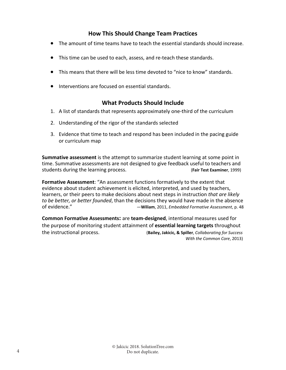#### **How This Should Change Team Practices**

- $\bullet$  The amount of time teams have to teach the essential standards should increase.
- $\bullet$  This time can be used to each, assess, and re-teach these standards.
- This means that there will be less time devoted to "nice to know" standards.
- **•** Interventions are focused on essential standards.

#### **What Products Should Include**

- 1. A list of standards that represents approximately one-third of the curriculum
- 2. Understanding of the rigor of the standards selected
- 3. Evidence that time to teach and respond has been included in the pacing guide or curriculum map

**Summative assessment** is the attempt to summarize student learning at some point in time. Summative assessments are not designed to give feedback useful to teachers and students during the learning process. (**Fair Test Examiner**, 1999)

**Formative Assessment**: "An assessment functions formatively to the extent that evidence about student achievement is elicited, interpreted, and used by teachers, learners, or their peers to make decisions about next steps in instruction *that are likely to be better, or better founded*, than the decisions they would have made in the absence<br>of evidence." — **William** 2011 *Embedded Formative Assessment* n 48 of evidence." —**Wiliam**, 2011, *Embedded Formative Assessment*, p. 48

**Common Formative Assessments:** are **team-designed**, intentional measures used for the purpose of monitoring student attainment of **essential learning targets** throughout the instructional process. (**Bailey, Jakicic, & Spiller**, *Collaborating for Success With the Common Core*, 2013)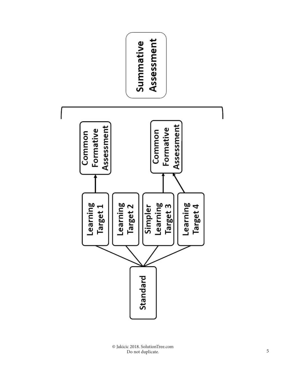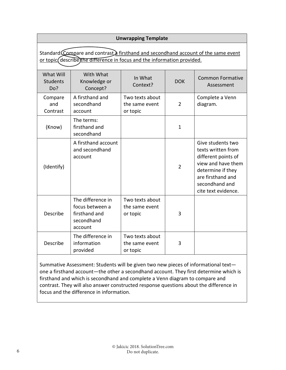#### **Unwrapping Template**

Standard: Compare and contrast a firsthand and secondhand account of the same event or topic, describe the difference in focus and the information provided.

| What Will<br><b>Students</b><br>Do? | With What<br>Knowledge or<br>Concept?                                          | In What<br>Context?                           | <b>DOK</b>     | <b>Common Formative</b><br>Assessment                                                                                                                                   |
|-------------------------------------|--------------------------------------------------------------------------------|-----------------------------------------------|----------------|-------------------------------------------------------------------------------------------------------------------------------------------------------------------------|
| Compare<br>and<br>Contrast          | A firsthand and<br>secondhand<br>account                                       | Two texts about<br>the same event<br>or topic | $\overline{2}$ | Complete a Venn<br>diagram.                                                                                                                                             |
| (Know)                              | The terms:<br>firsthand and<br>secondhand                                      |                                               | $\mathbf{1}$   |                                                                                                                                                                         |
| (Identify)                          | A firsthand account<br>and secondhand<br>account                               |                                               | 2              | Give students two<br>texts written from<br>different points of<br>view and have them<br>determine if they<br>are firsthand and<br>secondhand and<br>cite text evidence. |
| <b>Describe</b>                     | The difference in<br>focus between a<br>firsthand and<br>secondhand<br>account | Two texts about<br>the same event<br>or topic | 3              |                                                                                                                                                                         |
| Describe                            | The difference in<br>information<br>provided                                   | Two texts about<br>the same event<br>or topic | 3              |                                                                                                                                                                         |

Summative Assessment: Students will be given two new pieces of informational text one a firsthand account—the other a secondhand account. They first determine which is firsthand and which is secondhand and complete a Venn diagram to compare and contrast. They will also answer constructed response questions about the difference in focus and the difference in information.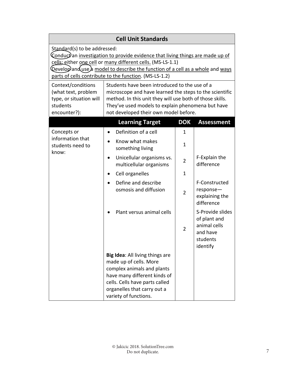| <b>Cell Unit Standards</b>                                                                                                                                                                                                                                                                                                            |                                                                                                                                                                                                                                                                    |                   |                                                                                      |  |
|---------------------------------------------------------------------------------------------------------------------------------------------------------------------------------------------------------------------------------------------------------------------------------------------------------------------------------------|--------------------------------------------------------------------------------------------------------------------------------------------------------------------------------------------------------------------------------------------------------------------|-------------------|--------------------------------------------------------------------------------------|--|
| Standard(s) to be addressed:<br>Conductan investigation to provide evidence that living things are made up of<br>cells; either one cell or many different cells. (MS-LS-1.1)<br>Qevelop <sup>)</sup> and use a model to describe the function of a cell as a whole and ways<br>parts of cells contribute to the function. (MS-LS-1.2) |                                                                                                                                                                                                                                                                    |                   |                                                                                      |  |
| Context/conditions<br>(what text, problem<br>type, or situation will<br>students<br>encounter?):                                                                                                                                                                                                                                      | Students have been introduced to the use of a<br>microscope and have learned the steps to the scientific<br>method. In this unit they will use both of those skills.<br>They've used models to explain phenomena but have<br>not developed their own model before. |                   |                                                                                      |  |
|                                                                                                                                                                                                                                                                                                                                       | <b>Learning Target</b>                                                                                                                                                                                                                                             | <b>DOK</b>        | <b>Assessment</b>                                                                    |  |
| Concepts or<br>information that<br>students need to                                                                                                                                                                                                                                                                                   | Definition of a cell<br>Know what makes                                                                                                                                                                                                                            | 1<br>$\mathbf{1}$ |                                                                                      |  |
| know:                                                                                                                                                                                                                                                                                                                                 | something living<br>Unicellular organisms vs.<br>$\bullet$<br>multicellular organisms                                                                                                                                                                              | $\overline{2}$    | F-Explain the<br>difference                                                          |  |
|                                                                                                                                                                                                                                                                                                                                       | Cell organelles<br>$\bullet$                                                                                                                                                                                                                                       | $\mathbf{1}$      |                                                                                      |  |
|                                                                                                                                                                                                                                                                                                                                       | Define and describe<br>osmosis and diffusion                                                                                                                                                                                                                       | $\overline{2}$    | F-Constructed<br>$response-$<br>explaining the<br>difference                         |  |
|                                                                                                                                                                                                                                                                                                                                       | Plant versus animal cells                                                                                                                                                                                                                                          | $\overline{2}$    | S-Provide slides<br>of plant and<br>animal cells<br>and have<br>students<br>identify |  |
|                                                                                                                                                                                                                                                                                                                                       | Big Idea: All living things are<br>made up of cells. More<br>complex animals and plants<br>have many different kinds of<br>cells. Cells have parts called<br>organelles that carry out a<br>variety of functions.                                                  |                   |                                                                                      |  |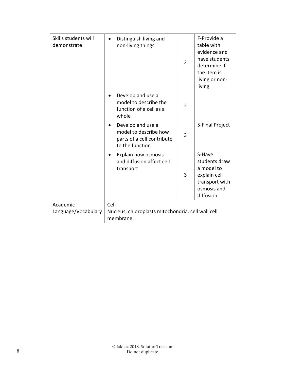| Skills students will<br>demonstrate | Distinguish living and<br>non-living things                                                 | $\overline{2}$ | F-Provide a<br>table with<br>evidence and<br>have students<br>determine if<br>the item is<br>living or non-<br>living |
|-------------------------------------|---------------------------------------------------------------------------------------------|----------------|-----------------------------------------------------------------------------------------------------------------------|
|                                     | Develop and use a<br>model to describe the<br>function of a cell as a<br>whole              | $\overline{2}$ |                                                                                                                       |
|                                     | Develop and use a<br>model to describe how<br>parts of a cell contribute<br>to the function | 3              | S-Final Project                                                                                                       |
|                                     | Explain how osmosis<br>and diffusion affect cell<br>transport                               | 3              | S-Have<br>students draw<br>a model to<br>explain cell<br>transport with<br>osmosis and<br>diffusion                   |
| Academic<br>Language/Vocabulary     | Cell<br>Nucleus, chloroplasts mitochondria, cell wall cell<br>membrane                      |                |                                                                                                                       |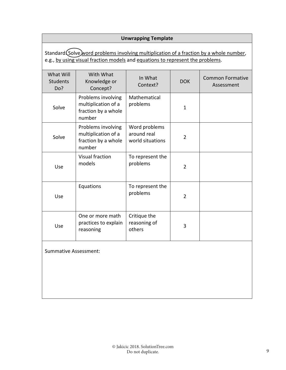#### **Unwrapping Template**

Standard(Solve) word problems involving multiplication of a fraction by a whole number, e.g., by using visual fraction models and equations to represent the problems.

| What Will<br><b>Students</b><br>Do? | With What<br>Knowledge or<br>Concept?                                      | In What<br>Context?                              | <b>DOK</b>     | <b>Common Formative</b><br>Assessment |
|-------------------------------------|----------------------------------------------------------------------------|--------------------------------------------------|----------------|---------------------------------------|
| Solve                               | Problems involving<br>multiplication of a<br>fraction by a whole<br>number | Mathematical<br>problems                         | $\mathbf{1}$   |                                       |
| Solve                               | Problems involving<br>multiplication of a<br>fraction by a whole<br>number | Word problems<br>around real<br>world situations | $\overline{2}$ |                                       |
| Use                                 | <b>Visual fraction</b><br>models                                           | To represent the<br>problems                     | $\overline{2}$ |                                       |
| Use                                 | Equations                                                                  | To represent the<br>problems                     | $\overline{2}$ |                                       |
| Use                                 | One or more math<br>practices to explain<br>reasoning                      | Critique the<br>reasoning of<br>others           | 3              |                                       |
|                                     |                                                                            |                                                  |                |                                       |

Summative Assessment: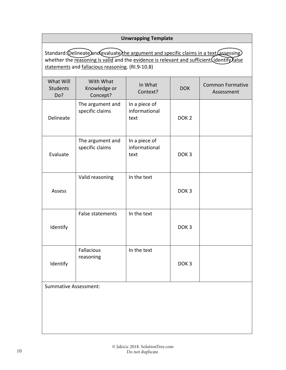| <b>Unwrapping Template</b>                                                                                                                                                                                                                    |                                       |                                        |                  |                                       |
|-----------------------------------------------------------------------------------------------------------------------------------------------------------------------------------------------------------------------------------------------|---------------------------------------|----------------------------------------|------------------|---------------------------------------|
| Standard: (Delineate) and (evaluate) the argument and specific claims in a text (assessing)<br>whether the reasoning is valid and the evidence is relevant and sufficient (identify false<br>statements and fallacious reasoning. (RI.9-10.8) |                                       |                                        |                  |                                       |
| What Will<br><b>Students</b><br>Do?                                                                                                                                                                                                           | With What<br>Knowledge or<br>Concept? | In What<br>Context?                    | <b>DOK</b>       | <b>Common Formative</b><br>Assessment |
| Delineate                                                                                                                                                                                                                                     | The argument and<br>specific claims   | In a piece of<br>informational<br>text | DOK <sub>2</sub> |                                       |
| Evaluate                                                                                                                                                                                                                                      | The argument and<br>specific claims   | In a piece of<br>informational<br>text | DOK <sub>3</sub> |                                       |
| Assess                                                                                                                                                                                                                                        | Valid reasoning                       | In the text                            | DOK <sub>3</sub> |                                       |
| Identify                                                                                                                                                                                                                                      | <b>False statements</b>               | In the text                            | DOK <sub>3</sub> |                                       |
| Identify                                                                                                                                                                                                                                      | Fallacious<br>reasoning               | In the text                            | DOK <sub>3</sub> |                                       |
| <b>Summative Assessment:</b>                                                                                                                                                                                                                  |                                       |                                        |                  |                                       |
|                                                                                                                                                                                                                                               |                                       |                                        |                  |                                       |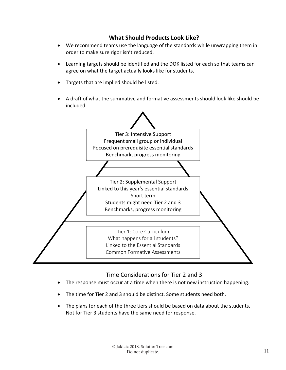#### **What Should Products Look Like?**

- We recommend teams use the language of the standards while unwrapping them in order to make sure rigor isn't reduced.
- Learning targets should be identified and the DOK listed for each so that teams can agree on what the target actually looks like for students.
- Targets that are implied should be listed.
- A draft of what the summative and formative assessments should look like should be included.



#### Time Considerations for Tier 2 and 3

- The response must occur at a time when there is not new instruction happening.
- $\bullet$  The time for Tier 2 and 3 should be distinct. Some students need both.
- The plans for each of the three tiers should be based on data about the students. Not for Tier 3 students have the same need for response.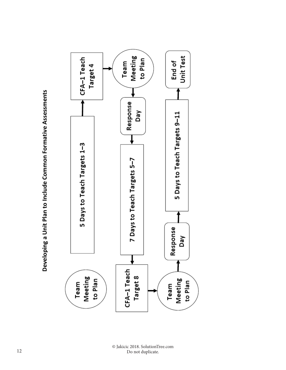**Developing a Unit Plan to Include Common Formative Assessments**  Developing a Unit Plan to Include Common Formative Assessments

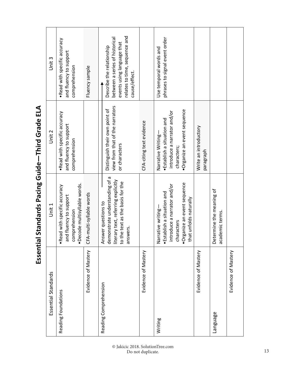| Essential Standards   | Unit 1                                                                                                                                                       | Unit 2                                                                                                                         | Unit 3                                                                                                                                      |
|-----------------------|--------------------------------------------------------------------------------------------------------------------------------------------------------------|--------------------------------------------------------------------------------------------------------------------------------|---------------------------------------------------------------------------------------------------------------------------------------------|
| Reading Foundations   | ·Decode multisyllable words.<br>. Read with specific accuracy<br>and fluency to support<br>comprehension                                                     | .Read with specific accuracy<br>and fluency to support<br>comprehension                                                        | . Read with specific accuracy<br>and fluency to support<br>comprehension                                                                    |
| Evidence of Mastery   | CFA-multi-syllable words                                                                                                                                     |                                                                                                                                | Fluency sample                                                                                                                              |
|                       |                                                                                                                                                              |                                                                                                                                |                                                                                                                                             |
| Reading Comprehension | demonstrate understanding of a<br>literary text, referring explicitly<br>to the text as the basis for the<br>Answer questions to<br>answers.                 | view from that of the narrators<br>Distinguish their own point of<br>or characters                                             | relates to time, sequence and<br>between a series of historical<br>events using language that<br>Describe the relationship<br>cause/effect. |
| Evidence of Mastery   |                                                                                                                                                              | CFA-citing text evidence                                                                                                       |                                                                                                                                             |
| Writing               | ·Organize an event sequence<br>introduce a narrator and/or<br>• Establish a situation and<br>that unfolds naturally<br>rative writing-<br>characters<br>Narr | ·Organize an event sequence<br>introduce a narrator and/or<br>· Establish a situation and<br>Narrative Writing-<br>characters; | phrases to signal event order<br>Use temporal words and                                                                                     |
| Evidence of Mastery   |                                                                                                                                                              | Write an introductory<br>paragraph                                                                                             |                                                                                                                                             |
| Language              | Determine the meaning of<br>academic terms.                                                                                                                  |                                                                                                                                |                                                                                                                                             |
|                       |                                                                                                                                                              |                                                                                                                                |                                                                                                                                             |
| Evidence of Mastery   |                                                                                                                                                              |                                                                                                                                |                                                                                                                                             |

# Essential Standards Pacing Guide-Third Grade ELA **Essential Standards Pacing Guide—Third Grade ELA**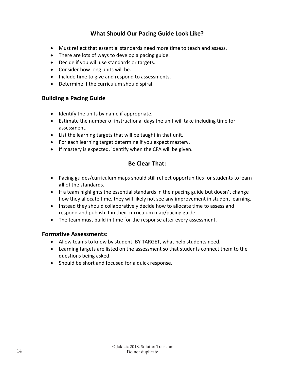#### **What Should Our Pacing Guide Look Like?**

- Must reflect that essential standards need more time to teach and assess.
- $\bullet$  There are lots of ways to develop a pacing guide.
- Decide if you will use standards or targets.
- Consider how long units will be.
- Include time to give and respond to assessments.
- Determine if the curriculum should spiral.

#### **Building a Pacing Guide**

- Identify the units by name if appropriate.
- Estimate the number of instructional days the unit will take including time for assessment.
- List the learning targets that will be taught in that unit.
- For each learning target determine if you expect mastery.
- $\bullet$  If mastery is expected, identify when the CFA will be given.

#### **Be Clear That:**

- Pacing guides/curriculum maps should still reflect opportunities for students to learn **all** of the standards.
- If a team highlights the essential standards in their pacing guide but doesn't change how they allocate time, they will likely not see any improvement in student learning.
- Instead they should collaboratively decide how to allocate time to assess and respond and publish it in their curriculum map/pacing guide.
- The team must build in time for the response after every assessment.

#### **Formative Assessments:**

- Allow teams to know by student, BY TARGET, what help students need.
- Learning targets are listed on the assessment so that students connect them to the questions being asked.
- Should be short and focused for a quick response.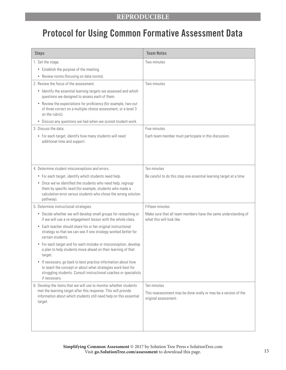# Protocol for Using Common Formative Assessment Data

| <b>Steps</b>                                                                                                                                                                                                         | <b>Team Notes</b>                                                                                      |
|----------------------------------------------------------------------------------------------------------------------------------------------------------------------------------------------------------------------|--------------------------------------------------------------------------------------------------------|
| 1. Set the stage.                                                                                                                                                                                                    | Two minutes                                                                                            |
| • Establish the purpose of the meeting.                                                                                                                                                                              |                                                                                                        |
| • Review norms (focusing on data norms).                                                                                                                                                                             |                                                                                                        |
| 2. Review the focus of the assessment.                                                                                                                                                                               | Two minutes                                                                                            |
| • Identify the essential learning targets we assessed and which<br>questions we designed to assess each of them.                                                                                                     |                                                                                                        |
| • Review the expectations for proficiency (for example, two out<br>of three correct on a multiple-choice assessment, or a level 3<br>on the rubric).                                                                 |                                                                                                        |
| • Discuss any questions we had when we scored student work.                                                                                                                                                          |                                                                                                        |
| 3. Discuss the data.                                                                                                                                                                                                 | Five minutes                                                                                           |
| • For each target, identify how many students will need<br>additional time and support.                                                                                                                              | Each team member must participate in this discussion.                                                  |
| 4. Determine student misconceptions and errors.                                                                                                                                                                      | Ten minutes                                                                                            |
| • For each target, identify which students need help.                                                                                                                                                                | Be careful to do this step one essential learning target at a time.                                    |
| • Once we've identified the students who need help, regroup<br>them by specific need (for example, students who made a<br>calculation error versus students who chose the wrong solution<br>pathway).                |                                                                                                        |
| 5. Determine instructional strategies.                                                                                                                                                                               | Fifteen minutes                                                                                        |
| • Decide whether we will develop small groups for reteaching or<br>if we will use a re-engagement lesson with the whole class.                                                                                       | Make sure that all team members have the same understanding of<br>what this will look like.            |
| • Each teacher should share his or her original instructional<br>strategy so that we can see if one strategy worked better for<br>certain students.                                                                  |                                                                                                        |
| • For each target and for each mistake or misconception, develop<br>a plan to help students move ahead on their learning of that<br>target.                                                                          |                                                                                                        |
| • If necessary, go back to best practice information about how<br>to teach the concept or about what strategies work best for<br>struggling students. Consult instructional coaches or specialists<br>if necessary.  |                                                                                                        |
| 6. Develop the items that we will use to monitor whether students<br>met the learning target after this response. This will provide<br>information about which students still need help on this essential<br>target. | Ten minutes<br>This reassessment may be done orally or may be a version of the<br>original assessment. |
|                                                                                                                                                                                                                      |                                                                                                        |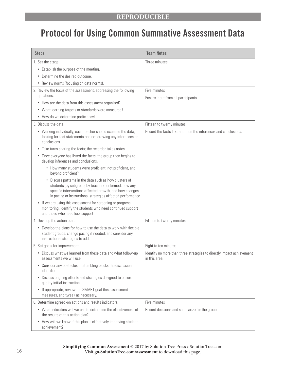# Protocol for Using Common Summative Assessment Data

| <b>Steps</b>                                                                                                                                                                                                                                 | <b>Team Notes</b>                                                                      |
|----------------------------------------------------------------------------------------------------------------------------------------------------------------------------------------------------------------------------------------------|----------------------------------------------------------------------------------------|
| 1. Set the stage.                                                                                                                                                                                                                            | Three minutes                                                                          |
| • Establish the purpose of the meeting.                                                                                                                                                                                                      |                                                                                        |
| • Determine the desired outcome.                                                                                                                                                                                                             |                                                                                        |
| • Review norms (focusing on data norms).                                                                                                                                                                                                     |                                                                                        |
| 2. Review the focus of the assessment, addressing the following<br>questions.                                                                                                                                                                | Five minutes<br>Ensure input from all participants.                                    |
| • How are the data from this assessment organized?                                                                                                                                                                                           |                                                                                        |
| • What learning targets or standards were measured?                                                                                                                                                                                          |                                                                                        |
| • How do we determine proficiency?                                                                                                                                                                                                           |                                                                                        |
| 3. Discuss the data.                                                                                                                                                                                                                         | Fifteen to twenty minutes                                                              |
| • Working individually, each teacher should examine the data,<br>looking for fact statements and not drawing any inferences or<br>conclusions.                                                                                               | Record the facts first and then the inferences and conclusions.                        |
| • Take turns sharing the facts; the recorder takes notes.                                                                                                                                                                                    |                                                                                        |
| • Once everyone has listed the facts, the group then begins to<br>develop inferences and conclusions.                                                                                                                                        |                                                                                        |
| • How many students were proficient, not proficient, and<br>beyond proficient?                                                                                                                                                               |                                                                                        |
| Discuss patterns in the data such as how clusters of<br>٠<br>students (by subgroup, by teacher) performed, how any<br>specific interventions affected growth, and how changes<br>in pacing or instructional strategies affected performance. |                                                                                        |
| • If we are using this assessment for screening or progress<br>monitoring, identify the students who need continued support<br>and those who need less support.                                                                              |                                                                                        |
| 4. Develop the action plan.                                                                                                                                                                                                                  | Fifteen to twenty minutes                                                              |
| • Develop the plans for how to use the data to work with flexible<br>student groups, change pacing if needed, and consider any<br>instructional strategies to add.                                                                           |                                                                                        |
| 5. Set goals for improvement.                                                                                                                                                                                                                | Eight to ten minutes                                                                   |
| • Discuss what we learned from these data and what follow-up<br>assessments we will use.                                                                                                                                                     | Identify no more than three strategies to directly impact achievement<br>in this area. |
| • Consider any obstacles or stumbling blocks the discussion<br>identified.                                                                                                                                                                   |                                                                                        |
| Discuss ongoing efforts and strategies designed to ensure<br>quality initial instruction.                                                                                                                                                    |                                                                                        |
| • If appropriate, review the SMART goal this assessment<br>measures, and tweak as necessary.                                                                                                                                                 |                                                                                        |
| 6. Determine agreed-on actions and results indicators.                                                                                                                                                                                       | Five minutes                                                                           |
| • What indicators will we use to determine the effectiveness of<br>the results of this action plan?                                                                                                                                          | Record decisions and summarize for the group.                                          |
| • How will we know if this plan is effectively improving student<br>achievement?                                                                                                                                                             |                                                                                        |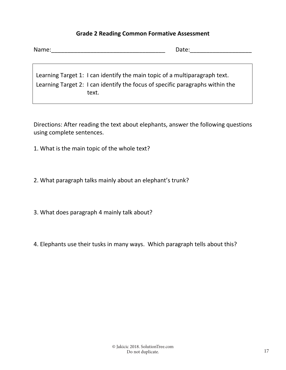#### **Grade 2 Reading Common Formative Assessment**

| Name: | $\mathcal{O}\mathsf{ate}\colon$ |
|-------|---------------------------------|
|       |                                 |

Learning Target 1: I can identify the main topic of a multiparagraph text. Learning Target 2: I can identify the focus of specific paragraphs within the text.

Directions: After reading the text about elephants, answer the following questions using complete sentences.

- 1. What is the main topic of the whole text?
- 2. What paragraph talks mainly about an elephant's trunk?
- 3. What does paragraph 4 mainly talk about?
- 4. Elephants use their tusks in many ways. Which paragraph tells about this?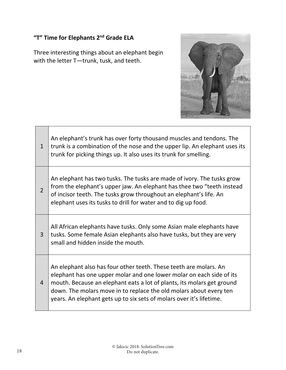## **"T" Time for Elephants 2nd Grade ELA**

Three interesting things about an elephant begin with the letter T—trunk, tusk, and teeth.



| $\mathbf{1}$   | An elephant's trunk has over forty thousand muscles and tendons. The<br>trunk is a combination of the nose and the upper lip. An elephant uses its<br>trunk for picking things up. It also uses its trunk for smelling.                                                                                                                                           |
|----------------|-------------------------------------------------------------------------------------------------------------------------------------------------------------------------------------------------------------------------------------------------------------------------------------------------------------------------------------------------------------------|
| $\overline{2}$ | An elephant has two tusks. The tusks are made of ivory. The tusks grow<br>from the elephant's upper jaw. An elephant has thee two "teeth instead<br>of incisor teeth. The tusks grow throughout an elephant's life. An<br>elephant uses its tusks to drill for water and to dig up food.                                                                          |
| 3              | All African elephants have tusks. Only some Asian male elephants have<br>tusks. Some female Asian elephants also have tusks, but they are very<br>small and hidden inside the mouth.                                                                                                                                                                              |
| $\overline{4}$ | An elephant also has four other teeth. These teeth are molars. An<br>elephant has one upper molar and one lower molar on each side of its<br>mouth. Because an elephant eats a lot of plants, its molars get ground<br>down. The molars move in to replace the old molars about every ten<br>years. An elephant gets up to six sets of molars over it's lifetime. |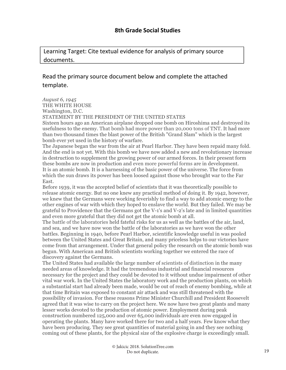Learning Target: Cite textual evidence for analysis of primary source documents.

### Read the primary source document below and complete the attached template.

*August 6, 1945* THE WHITE HOUSE Washington, D.C. STATEMENT BY THE PRESIDENT OF THE UNITED STATES

Sixteen hours ago an American airplane dropped one bomb on Hiroshima and destroyed its usefulness to the enemy. That bomb had more power than 20,000 tons of TNT. It had more than two thousand times the blast power of the British "Grand Slam" which is the largest bomb ever yet used in the history of warfare.

The Japanese began the war from the air at Pearl Harbor. They have been repaid many fold. And the end is not yet. With this bomb we have now added a new and revolutionary increase in destruction to supplement the growing power of our armed forces. In their present form these bombs are now in production and even more powerful forms are in development. It is an atomic bomb. It is a harnessing of the basic power of the universe. The force from which the sun draws its power has been loosed against those who brought war to the Far East.

Before 1939, it was the accepted belief of scientists that it was theoretically possible to release atomic energy. But no one knew any practical method of doing it. By 1942, however, we knew that the Germans were working feverishly to find a way to add atomic energy to the other engines of war with which they hoped to enslave the world. But they failed. We may be grateful to Providence that the Germans got the V-1's and V-2's late and in limited quantities and even more grateful that they did not get the atomic bomb at all.

The battle of the laboratories held fateful risks for us as well as the battles of the air, land, and sea, and we have now won the battle of the laboratories as we have won the other battles. Beginning in 1940, before Pearl Harbor, scientific knowledge useful in was pooled between the United States and Great Britain, and many priceless helps to our victories have come from that arrangement. Under that general policy the research on the atomic bomb was begun. With American and British scientists working together we entered the race of discovery against the Germans.

The United States had available the large number of scientists of distinction in the many needed areas of knowledge. It had the tremendous industrial and financial resources necessary for the project and they could be devoted to it without undue impairment of other vital war work. In the United States the laboratory work and the production plants, on which a substantial start had already been made, would be out of reach of enemy bombing, while at that time Britain was exposed to constant air attack and was still threatened with the possibility of invasion. For these reasons Prime Minister Churchill and President Roosevelt agreed that it was wise to carry on the project here. We now have two great plants and many lesser works devoted to the production of atomic power. Employment during peak construction numbered 125,000 and over 65,000 individuals are even now engaged in operating the plants. Many have worked there for two and a half years. Few know what they have been producing. They see great quantities of material going in and they see nothing coming out of these plants, for the physical size of the explosive charge is exceedingly small.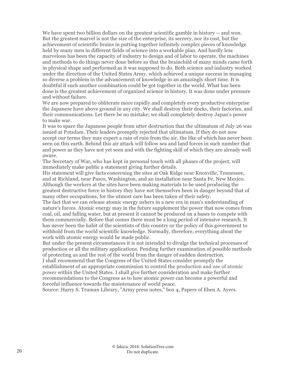We have spent two billion dollars on the greatest scientific gamble in history -- and won. But the greatest marvel is not the size of the enterprise, its secrecy, nor its cost, but the achievement of scientific brains in putting together infinitely complex pieces of knowledge held by many men in different fields of science into a workable plan. And hardly less marvelous has been the capacity of industry to design and of labor to operate, the machines and methods to do things never done before so that the brainchild of many minds came forth in physical shape and performed as it was supposed to do. Both science and industry worked under the direction of the United States Army, which achieved a unique success in managing so diverse a problem in the advancement of knowledge in an amazingly short time. It is doubtful if such another combination could be got together in the world. What has been done is the greatest achievement of organized science in history. It was done under pressure and without failure.

We are now prepared to obliterate more rapidly and completely every productive enterprise the Japanese have above ground in any city. We shall destroy their docks, their factories, and their communications. Let there be no mistake; we shall completely destroy Japan's power to make war.

It was to spare the Japanese people from utter destruction that the ultimatum of July 26 was issued at Potsdam. Their leaders promptly rejected that ultimatum. If they do not now accept our terms they may expect a rain of ruin from the air, the like of which has never been seen on this earth. Behind this air attack will follow sea and land forces in such number that and power as they have not yet seen and with the fighting skill of which they are already well aware.

The Secretary of War, who has kept in personal touch with all phases of the project, will immediately make public a statement giving further details.

His statement will give facts concerning the sites at Oak Ridge near Knoxville, Tennessee, and at Richland, near Pasco, Washington, and an installation near Santa Fe, New Mexico. Although the workers at the sites have been making materials to be used producing the greatest destructive force in history they have not themselves been in danger beyond that of many other occupations, for the utmost care has been taken of their safety.

The fact that we can release atomic energy ushers in a new era in man's understanding of nature's forces. Atomic energy may in the future supplement the power that now comes from coal, oil, and falling water, but at present it cannot be produced on a bases to compete with them commercially. Before that comes there must be a long period of intensive research. It has never been the habit of the scientists of this country or the policy of this government to withhold from the world scientific knowledge. Normally, therefore, everything about the work with atomic energy would be made public.

But under the present circumstances it is not intended to divulge the technical processes of production or all the military applications. Pending further examination of possible methods of protecting us and the rest of the world from the danger of sudden destruction. I shall recommend that the Congress of the United States consider promptly the establishment of an appropriate commission to control the production and use of atomic power within the United States. I shall give further consideration and make further

recommendations to the Congress as to how atomic power can become a powerful and forceful influence towards the maintenance of world peace.

Source: Harry S. Truman Library, "Army press notes," box 4, Papers of Eben A. Ayers.